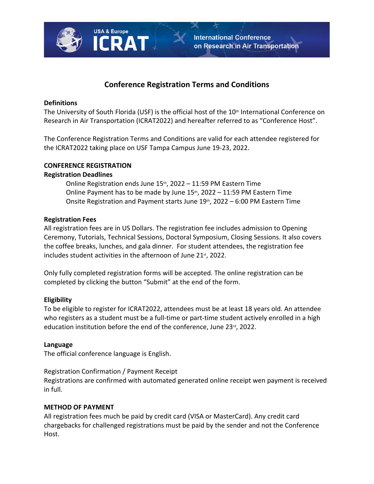

**USA & Europe** 

## **Conference Registration Terms and Conditions**

### **Definitions**

The University of South Florida (USF) is the official host of the 10<sup>th</sup> International Conference on Research in Air Transportation (ICRAT2022) and hereafter referred to as "Conference Host".

The Conference Registration Terms and Conditions are valid for each attendee registered for the ICRAT2022 taking place on USF Tampa Campus June 19-23, 2022.

#### **CONFERENCE REGISTRATION**

#### **Registration Deadlines**

Online Registration ends June  $15<sup>th</sup>$ , 2022 – 11:59 PM Eastern Time Online Payment has to be made by June  $15<sup>th</sup>$ , 2022 – 11:59 PM Eastern Time Onsite Registration and Payment starts June 19<sup>th</sup>, 2022 – 6:00 PM Eastern Time

#### **Registration Fees**

All registration fees are in US Dollars. The registration fee includes admission to Opening Ceremony, Tutorials, Technical Sessions, Doctoral Symposium, Closing Sessions. It also covers the coffee breaks, lunches, and gala dinner. For student attendees, the registration fee includes student activities in the afternoon of June  $21<sup>st</sup>$ , 2022.

Only fully completed registration forms will be accepted. The online registration can be completed by clicking the button "Submit" at the end of the form.

## **Eligibility**

To be eligible to register for ICRAT2022, attendees must be at least 18 years old. An attendee who registers as a student must be a full-time or part-time student actively enrolled in a high education institution before the end of the conference, June 23rd, 2022.

#### **Language**

The official conference language is English.

Registration Confirmation / Payment Receipt

Registrations are confirmed with automated generated online receipt wen payment is received in full.

## **METHOD OF PAYMENT**

All registration fees much be paid by credit card (VISA or MasterCard). Any credit card chargebacks for challenged registrations must be paid by the sender and not the Conference Host.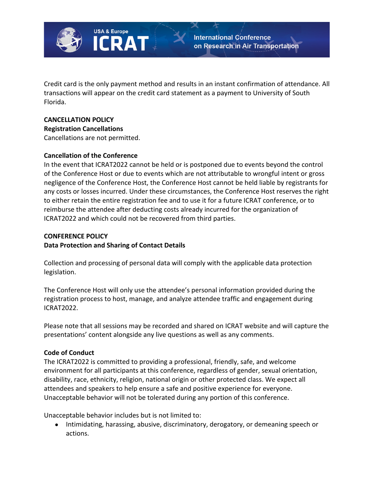

Credit card is the only payment method and results in an instant confirmation of attendance. All transactions will appear on the credit card statement as a payment to University of South Florida.

# **CANCELLATION POLICY**

**Registration Cancellations**

Cancellations are not permitted.

**USA & Europe** 

## **Cancellation of the Conference**

In the event that ICRAT2022 cannot be held or is postponed due to events beyond the control of the Conference Host or due to events which are not attributable to wrongful intent or gross negligence of the Conference Host, the Conference Host cannot be held liable by registrants for any costs or losses incurred. Under these circumstances, the Conference Host reserves the right to either retain the entire registration fee and to use it for a future ICRAT conference, or to reimburse the attendee after deducting costs already incurred for the organization of ICRAT2022 and which could not be recovered from third parties.

## **CONFERENCE POLICY**

**Data Protection and Sharing of Contact Details**

Collection and processing of personal data will comply with the applicable data protection legislation.

The Conference Host will only use the attendee's personal information provided during the registration process to host, manage, and analyze attendee traffic and engagement during ICRAT2022.

Please note that all sessions may be recorded and shared on ICRAT website and will capture the presentations' content alongside any live questions as well as any comments.

## **Code of Conduct**

The ICRAT2022 is committed to providing a professional, friendly, safe, and welcome environment for all participants at this conference, regardless of gender, sexual orientation, disability, race, ethnicity, religion, national origin or other protected class. We expect all attendees and speakers to help ensure a safe and positive experience for everyone. Unacceptable behavior will not be tolerated during any portion of this conference.

Unacceptable behavior includes but is not limited to:

• Intimidating, harassing, abusive, discriminatory, derogatory, or demeaning speech or actions.